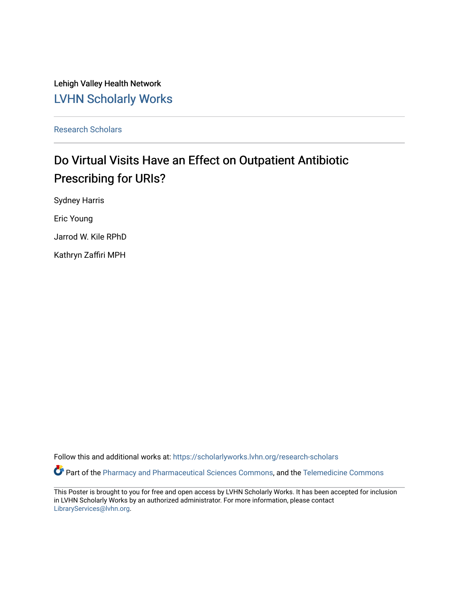Lehigh Valley Health Network [LVHN Scholarly Works](https://scholarlyworks.lvhn.org/)

[Research Scholars](https://scholarlyworks.lvhn.org/research-scholars) 

### Do Virtual Visits Have an Effect on Outpatient Antibiotic Prescribing for URIs?

Sydney Harris

Eric Young

Jarrod W. Kile RPhD

Kathryn Zaffiri MPH

Follow this and additional works at: [https://scholarlyworks.lvhn.org/research-scholars](https://scholarlyworks.lvhn.org/research-scholars?utm_source=scholarlyworks.lvhn.org%2Fresearch-scholars%2F36&utm_medium=PDF&utm_campaign=PDFCoverPages) 

Part of the [Pharmacy and Pharmaceutical Sciences Commons](http://network.bepress.com/hgg/discipline/731?utm_source=scholarlyworks.lvhn.org%2Fresearch-scholars%2F36&utm_medium=PDF&utm_campaign=PDFCoverPages), and the [Telemedicine Commons](http://network.bepress.com/hgg/discipline/1367?utm_source=scholarlyworks.lvhn.org%2Fresearch-scholars%2F36&utm_medium=PDF&utm_campaign=PDFCoverPages)

This Poster is brought to you for free and open access by LVHN Scholarly Works. It has been accepted for inclusion in LVHN Scholarly Works by an authorized administrator. For more information, please contact [LibraryServices@lvhn.org](mailto:LibraryServices@lvhn.org).